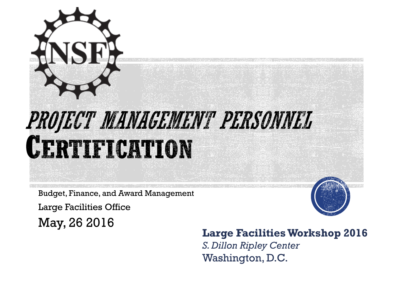

Budget, Finance, and Award Management

Large Facilities Office



### May, 26 2016 **Large Facilities Workshop 2016**

*S. Dillon Ripley Center* Washington, D.C.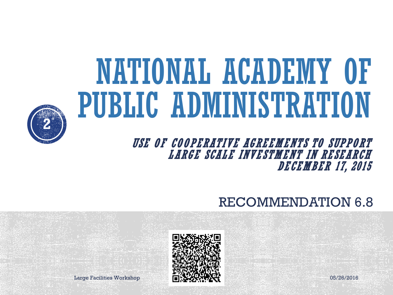# NATIONAL ACADEMY OF PUBLIC ADMINISTRATION



#### USE OF COOPERATIVE AGREEMENTS TO SUPPORT LARGE SCALE INVESTMENT IN RESEARCH DECEMBER 17, 2015

### RECOMMENDATION 6.8



Large Facilities Workshop **1.1 Property 1.1 Property 1.1 Property** 1.1 Property 1.1 Property 1.1 Property 1.1 Property 1.1 Property 1.1 Property 1.1 Property 1.1 Property 1.1 Property 1.1 Property 1.1 Property 1.1 Property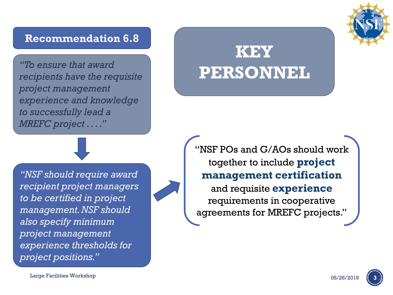#### **Recommendation 6.8**

**PERSONNEL** *"To ensure that award recipients have the requisite project management experience and knowledge to successfully lead a MREFC project . . . ."*

*"NSF should require award recipient project managers to be certified in project management. NSF should also specify minimum project management experience thresholds for project positions."*

# **KEY**

"NSF POs and G/AOs should work together to include **project management certification** and requisite **experience** requirements in cooperative agreements for MREFC projects."



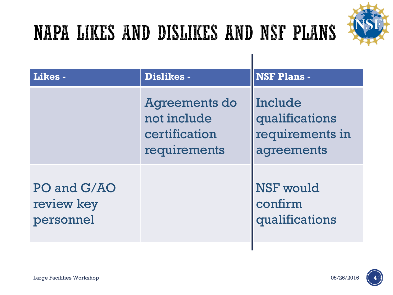

### NAPA LIKES AND DISLIKES AND NSF PLANS

| Likes-                                 | <b>Dislikes -</b>                                             | <b>NSF Plans -</b>                                         |  |  |
|----------------------------------------|---------------------------------------------------------------|------------------------------------------------------------|--|--|
|                                        | Agreements do<br>not include<br>certification<br>requirements | Include<br>qualifications<br>requirements in<br>agreements |  |  |
| PO and G/AO<br>review key<br>personnel |                                                               | <b>NSF</b> would<br>confirm<br>qualifications              |  |  |

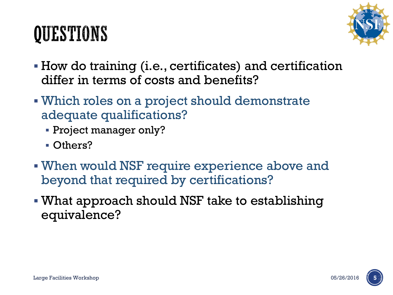### QUESTIONS



- How do training (i.e., certificates) and certification differ in terms of costs and benefits?
- Which roles on a project should demonstrate adequate qualifications?
	- Project manager only?
	- Others?
- When would NSF require experience above and beyond that required by certifications?
- What approach should NSF take to establishing equivalence?

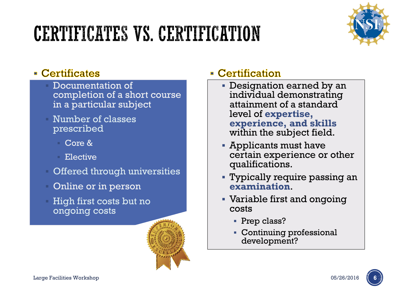### CERTIFICATES VS. CERTIFICATION



#### • Certificates

- Documentation of completion of a short course in a particular subject
- Number of classes prescribed
	- Core &
	- Elective
- Offered through universities
- Online or in person
- High first costs but no ongoing costs



#### • Certification

- Designation earned by an individual demonstrating attainment of a standard level of **expertise, experience, and skills**  within the subject field.
- Applicants must have certain experience or other qualifications.
- Typically require passing an **examination**.
- Variable first and ongoing costs
	- Prep class?
	- Continuing professional development?

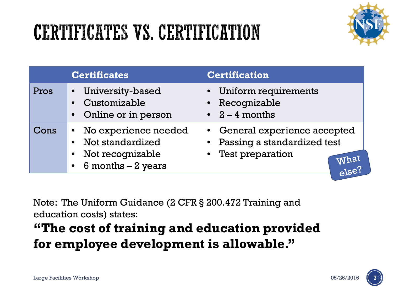### CERTIFICATES VS. CERTIFICATION



|      | <b>Certificates</b>                                                                                               | <b>Certification</b>                                                                                                     |
|------|-------------------------------------------------------------------------------------------------------------------|--------------------------------------------------------------------------------------------------------------------------|
| Pros | University-based<br>$\bullet$<br>Customizable<br>Online or in person<br>$\bullet$                                 | Uniform requirements<br>$\bullet$<br>Recognizable<br>• $2 - 4$ months                                                    |
| Cons | • No experience needed<br>Not standardized<br>Not recognizable<br>$\bullet$<br>$6$ months $-2$ years<br>$\bullet$ | • General experience accepted<br>Passing a standardized test<br>$\bullet$<br>Test preparation<br>What<br>$_{\rm e}$ lse? |

Note: The Uniform Guidance (2 CFR § 200.472 Training and education costs) states:

### **"The cost of training and education provided for employee development is allowable."**

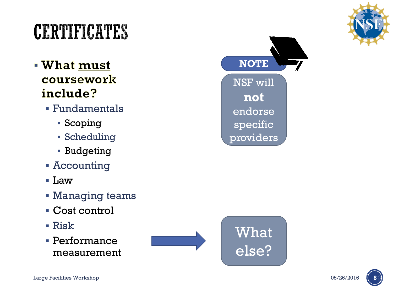

### CERTIFICATES

- **What must** coursework include?
	- Fundamentals
		- Scoping
		- Scheduling
		- Budgeting
	- Accounting
	- $\blacksquare$  Law
	- Managing teams
	- Cost control
	- Risk
	- Performance measurement





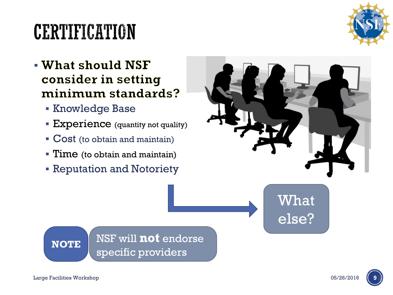### CERTIFICATION

- What should NSF consider in setting minimum standards?
	- **Knowledge Base**
	- **Experience** (quantity not quality)
	- Cost (to obtain and maintain)
	- **Time** (to obtain and maintain)
	- **Reputation and Notoriety**

**NOTE** NSF will **not** endorse

specific providers



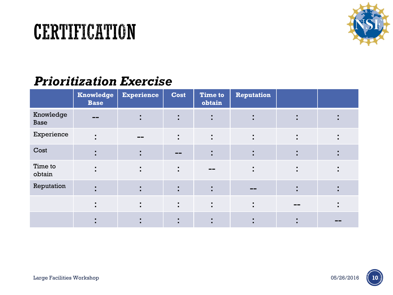

#### *Prioritization Exercise*

|                          | <b>Knowledge</b><br><b>Base</b>  | <b>Experience</b>                | <b>Cost</b>         | <b>Time to</b><br>obtain         | Reputation          |                                  |  |
|--------------------------|----------------------------------|----------------------------------|---------------------|----------------------------------|---------------------|----------------------------------|--|
| Knowledge<br><b>Base</b> |                                  | ٠<br>$\blacksquare$              | ٠<br>$\blacksquare$ | ٠<br>$\blacksquare$              | ٠<br>$\blacksquare$ | $\blacksquare$<br>$\blacksquare$ |  |
| Experience               | $\blacksquare$<br>$\blacksquare$ | $- -$                            |                     | ٠<br>$\blacksquare$              | ٠<br>$\blacksquare$ | $\blacksquare$<br>$\blacksquare$ |  |
| Cost                     | $\blacksquare$<br>$\blacksquare$ | ٠<br>$\blacksquare$              | $- -$               | ٠<br>$\blacksquare$              | $\blacksquare$      | $\blacksquare$<br>$\blacksquare$ |  |
| Time to<br>obtain        | $\blacksquare$<br>$\blacksquare$ | ÷                                | $\blacksquare$      | --                               | ٠<br>$\blacksquare$ | ٠<br>$\blacksquare$              |  |
| Reputation               | $\blacksquare$                   | ٠<br>$\blacksquare$              |                     | ٠<br>$\blacksquare$              | $- -$               | ٠<br>$\blacksquare$              |  |
|                          | $\blacksquare$<br>$\blacksquare$ | $\blacksquare$<br>$\blacksquare$ | $\blacksquare$      | $\blacksquare$                   | $\blacksquare$      | --                               |  |
|                          | $\blacksquare$                   | $\blacksquare$<br>п.             |                     | $\blacksquare$<br>$\blacksquare$ |                     | ٠<br>$\blacksquare$              |  |

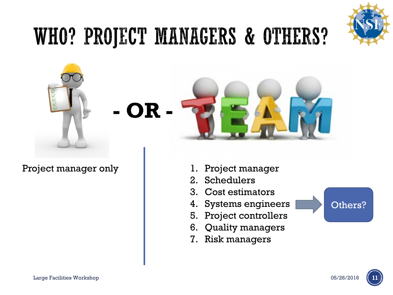

### WHO? PROJECT MANAGERS & OTHERS?



**- OR -**

Project manager only **1. Project manager** 



- 
- 2. Schedulers
- 3. Cost estimators
- 4. Systems engineers
- 5. Project controllers
- 6. Quality managers
- 7. Risk managers



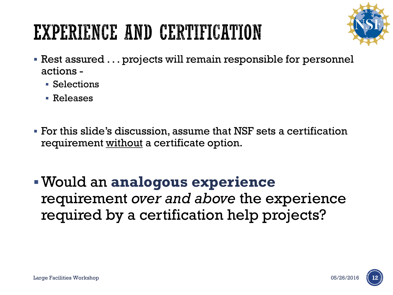### EXPERIENCE AND CERTIFICATION



- Rest assured . . . projects will remain responsible for personnel actions -
	- Selections
	- Releases
- For this slide's discussion, assume that NSF sets a certification requirement without a certificate option.
- Would an **analogous experience** requirement *over and above* the experience required by a certification help projects?

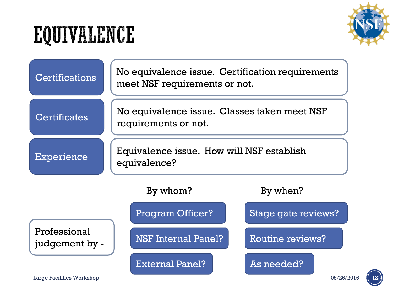## EQUIVALENCE



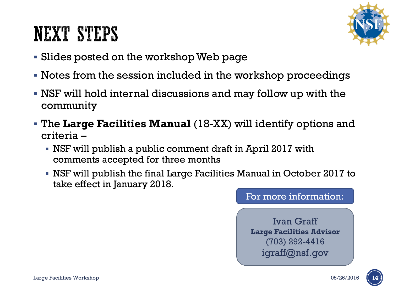### NEXT STEPS



- Slides posted on the workshop Web page
- Notes from the session included in the workshop proceedings
- NSF will hold internal discussions and may follow up with the community
- The **Large Facilities Manual** (18-XX) will identify options and criteria –
	- NSF will publish a public comment draft in April 2017 with comments accepted for three months
	- NSF will publish the final Large Facilities Manual in October 2017 to take effect in January 2018.

#### For more information:

Ivan Graff **Large Facilities Advisor** (703) 292-4416 igraff@nsf.gov

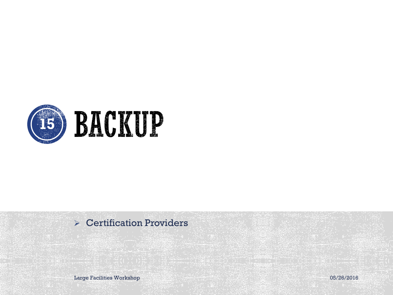

#### Certification Providers

Large Facilities Workshop 05/26/2016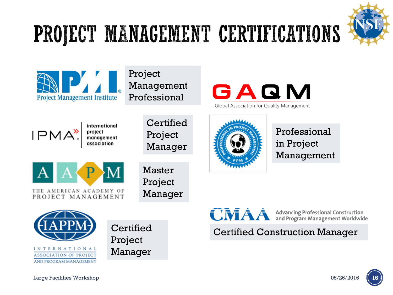

## PROJECT MANAGEMENT CERTIFICATIONS



Project Management Professional



Global Association for Quality Management



international project<br>management

**Certified** Project Manager



Master Project Manager



Professional in Project Management





**Certified** Project Manager CMAA

**Advancing Professional Construction<br>and Program Management Worldwide** 

Certified Construction Manager



Large Facilities Workshop 05/26/2016 **16**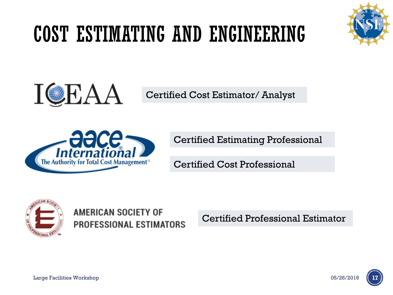### COST ESTIMATING AND ENGINEERING





Certified Cost Estimator/ Analyst



Certified Estimating Professional

Certified Cost Professional



AMERICAN SOCIETY OF **PROFESSIONAL ESTIMATORS** 

Certified Professional Estimator

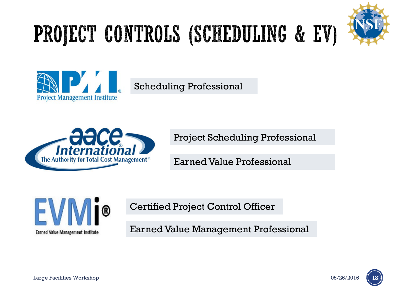## PROJECT CONTROLS (SCHEDULING & EV)





Scheduling Professional



Project Scheduling Professional

Earned Value Professional



Certified Project Control Officer

Earned Value Management Professional

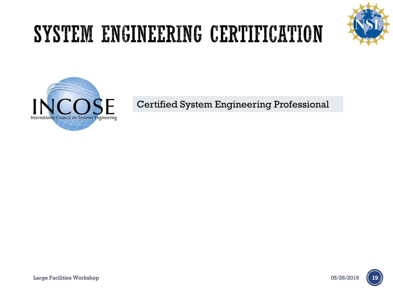### SYSTEM ENGINEERING CERTIFICATION





Certified System Engineering Professional

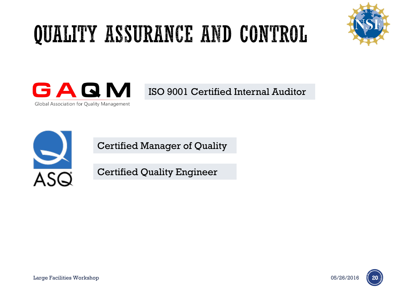### QUALITY ASSURANCE AND CONTROL





ISO 9001 Certified Internal Auditor



Certified Manager of Quality

Certified Quality Engineer